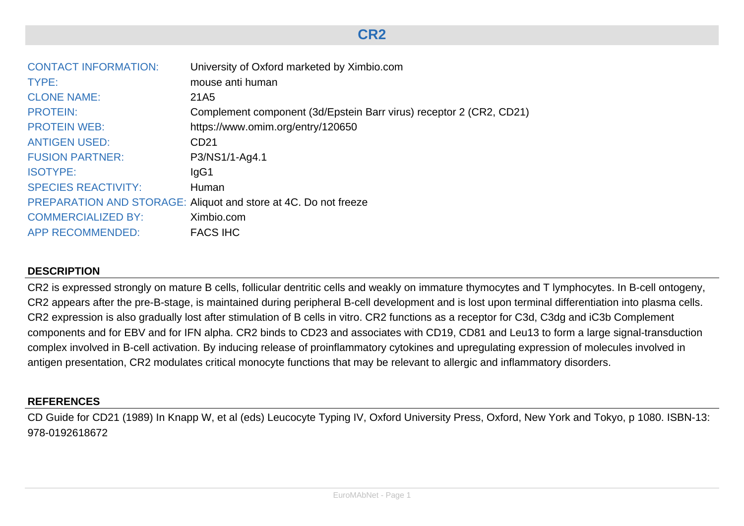# **CR2**

| <b>CONTACT INFORMATION:</b> | University of Oxford marketed by Ximbio.com                         |
|-----------------------------|---------------------------------------------------------------------|
| TYPE:                       | mouse anti human                                                    |
| <b>CLONE NAME:</b>          | 21A <sub>5</sub>                                                    |
| <b>PROTEIN:</b>             | Complement component (3d/Epstein Barr virus) receptor 2 (CR2, CD21) |
| <b>PROTEIN WEB:</b>         | https://www.omim.org/entry/120650                                   |
| <b>ANTIGEN USED:</b>        | CD <sub>21</sub>                                                    |
| <b>FUSION PARTNER:</b>      | P3/NS1/1-Ag4.1                                                      |
| <b>ISOTYPE:</b>             | lgG1                                                                |
| <b>SPECIES REACTIVITY:</b>  | Human                                                               |
|                             | PREPARATION AND STORAGE: Aliquot and store at 4C. Do not freeze     |
| <b>COMMERCIALIZED BY:</b>   | Ximbio.com                                                          |
| <b>APP RECOMMENDED:</b>     | <b>FACS IHC</b>                                                     |

#### **DESCRIPTION**

CR2 is expressed strongly on mature B cells, follicular dentritic cells and weakly on immature thymocytes and T lymphocytes. In B-cell ontogeny, CR2 appears after the pre-B-stage, is maintained during peripheral B-cell development and is lost upon terminal differentiation into plasma cells. CR2 expression is also gradually lost after stimulation of B cells in vitro. CR2 functions as a receptor for C3d, C3dg and iC3b Complement components and for EBV and for IFN alpha. CR2 binds to CD23 and associates with CD19, CD81 and Leu13 to form a large signal-transduction complex involved in B-cell activation. By inducing release of proinflammatory cytokines and upregulating expression of molecules involved in antigen presentation, CR2 modulates critical monocyte functions that may be relevant to allergic and inflammatory disorders.

#### **REFERENCES**

CD Guide for CD21 (1989) In Knapp W, et al (eds) Leucocyte Typing IV, Oxford University Press, Oxford, New York and Tokyo, p 1080. ISBN-13: 978-0192618672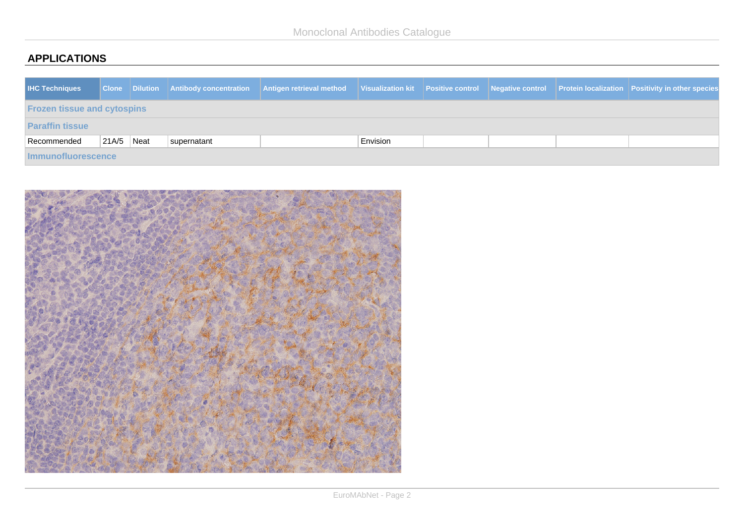## **APPLICATIONS**

| <b>IHC Techniques</b>              |                |  |             | Clone Dilution Antibody concentration Antigen retrieval method Visualization kit Positive control Negative control Protein localization Positivity in other species |          |  |  |  |  |  |  |
|------------------------------------|----------------|--|-------------|---------------------------------------------------------------------------------------------------------------------------------------------------------------------|----------|--|--|--|--|--|--|
| <b>Frozen tissue and cytospins</b> |                |  |             |                                                                                                                                                                     |          |  |  |  |  |  |  |
| <b>Paraffin tissue</b>             |                |  |             |                                                                                                                                                                     |          |  |  |  |  |  |  |
| Recommended                        | $ 21A/5 $ Neat |  | supernatant |                                                                                                                                                                     | Envision |  |  |  |  |  |  |
| Immunofluorescence                 |                |  |             |                                                                                                                                                                     |          |  |  |  |  |  |  |